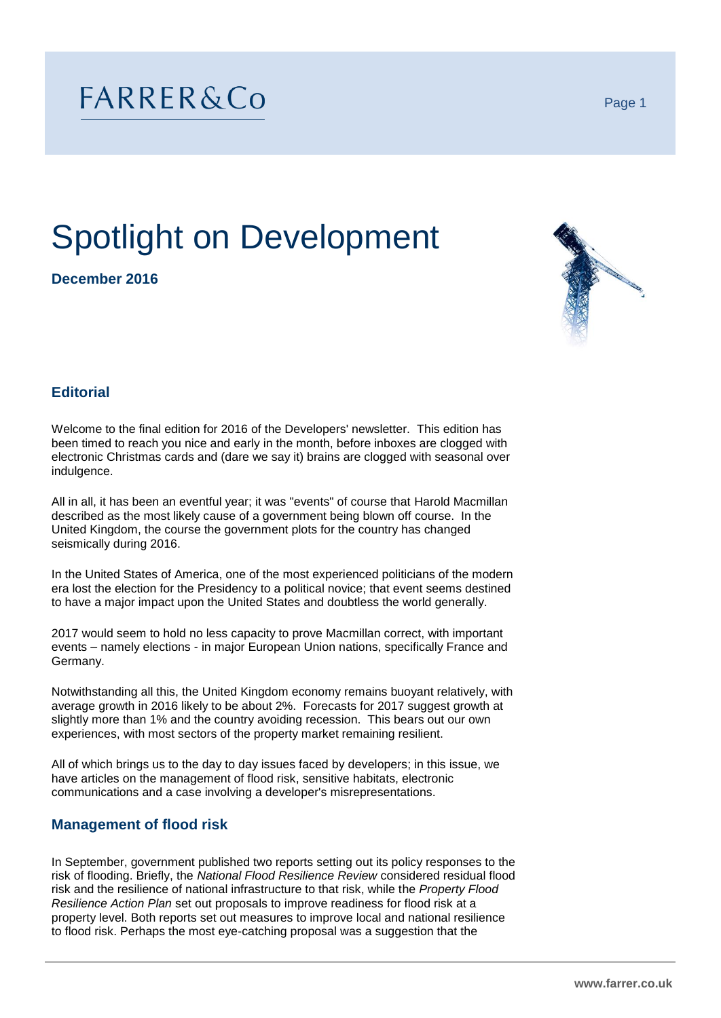## FARRER&Co

# Spotlight on Development

**December 2016**



## **Editorial**

Welcome to the final edition for 2016 of the Developers' newsletter. This edition has been timed to reach you nice and early in the month, before inboxes are clogged with electronic Christmas cards and (dare we say it) brains are clogged with seasonal over indulgence.

All in all, it has been an eventful year; it was "events" of course that Harold Macmillan described as the most likely cause of a government being blown off course. In the United Kingdom, the course the government plots for the country has changed seismically during 2016.

In the United States of America, one of the most experienced politicians of the modern era lost the election for the Presidency to a political novice; that event seems destined to have a major impact upon the United States and doubtless the world generally.

2017 would seem to hold no less capacity to prove Macmillan correct, with important events – namely elections - in major European Union nations, specifically France and Germany.

Notwithstanding all this, the United Kingdom economy remains buoyant relatively, with average growth in 2016 likely to be about 2%. Forecasts for 2017 suggest growth at slightly more than 1% and the country avoiding recession. This bears out our own experiences, with most sectors of the property market remaining resilient.

All of which brings us to the day to day issues faced by developers; in this issue, we have articles on the management of flood risk, sensitive habitats, electronic communications and a case involving a developer's misrepresentations.

## **Management of flood risk**

In September, government published two reports setting out its policy responses to the risk of flooding. Briefly, the *National Flood Resilience Review* considered residual flood risk and the resilience of national infrastructure to that risk, while the *Property Flood Resilience Action Plan* set out proposals to improve readiness for flood risk at a property level. Both reports set out measures to improve local and national resilience to flood risk. Perhaps the most eye-catching proposal was a suggestion that the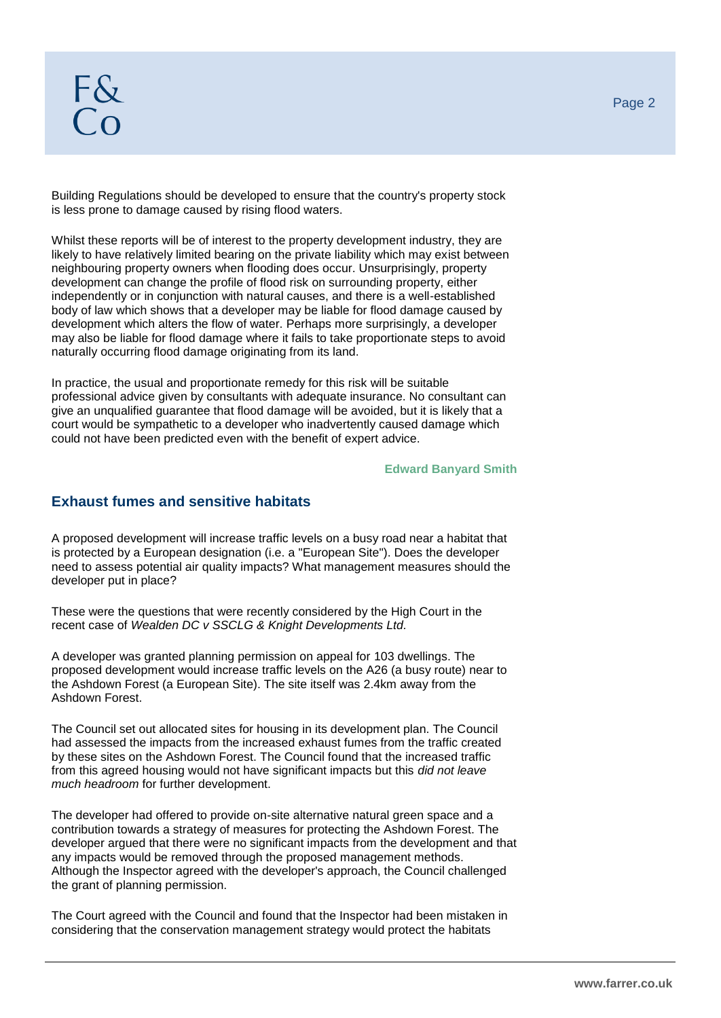Building Regulations should be developed to ensure that the country's property stock is less prone to damage caused by rising flood waters.

Whilst these reports will be of interest to the property development industry, they are likely to have relatively limited bearing on the private liability which may exist between neighbouring property owners when flooding does occur. Unsurprisingly, property development can change the profile of flood risk on surrounding property, either independently or in conjunction with natural causes, and there is a well-established body of law which shows that a developer may be liable for flood damage caused by development which alters the flow of water. Perhaps more surprisingly, a developer may also be liable for flood damage where it fails to take proportionate steps to avoid naturally occurring flood damage originating from its land.

In practice, the usual and proportionate remedy for this risk will be suitable professional advice given by consultants with adequate insurance. No consultant can give an unqualified guarantee that flood damage will be avoided, but it is likely that a court would be sympathetic to a developer who inadvertently caused damage which could not have been predicted even with the benefit of expert advice.

#### **Edward Banyard Smith**

### **Exhaust fumes and sensitive habitats**

A proposed development will increase traffic levels on a busy road near a habitat that is protected by a European designation (i.e. a "European Site"). Does the developer need to assess potential air quality impacts? What management measures should the developer put in place?

These were the questions that were recently considered by the High Court in the recent case of *Wealden DC v SSCLG & Knight Developments Ltd.*

A developer was granted planning permission on appeal for 103 dwellings. The proposed development would increase traffic levels on the A26 (a busy route) near to the Ashdown Forest (a European Site). The site itself was 2.4km away from the Ashdown Forest.

The Council set out allocated sites for housing in its development plan. The Council had assessed the impacts from the increased exhaust fumes from the traffic created by these sites on the Ashdown Forest. The Council found that the increased traffic from this agreed housing would not have significant impacts but this *did not leave much headroom* for further development.

The developer had offered to provide on-site alternative natural green space and a contribution towards a strategy of measures for protecting the Ashdown Forest. The developer argued that there were no significant impacts from the development and that any impacts would be removed through the proposed management methods. Although the Inspector agreed with the developer's approach, the Council challenged the grant of planning permission.

The Court agreed with the Council and found that the Inspector had been mistaken in considering that the conservation management strategy would protect the habitats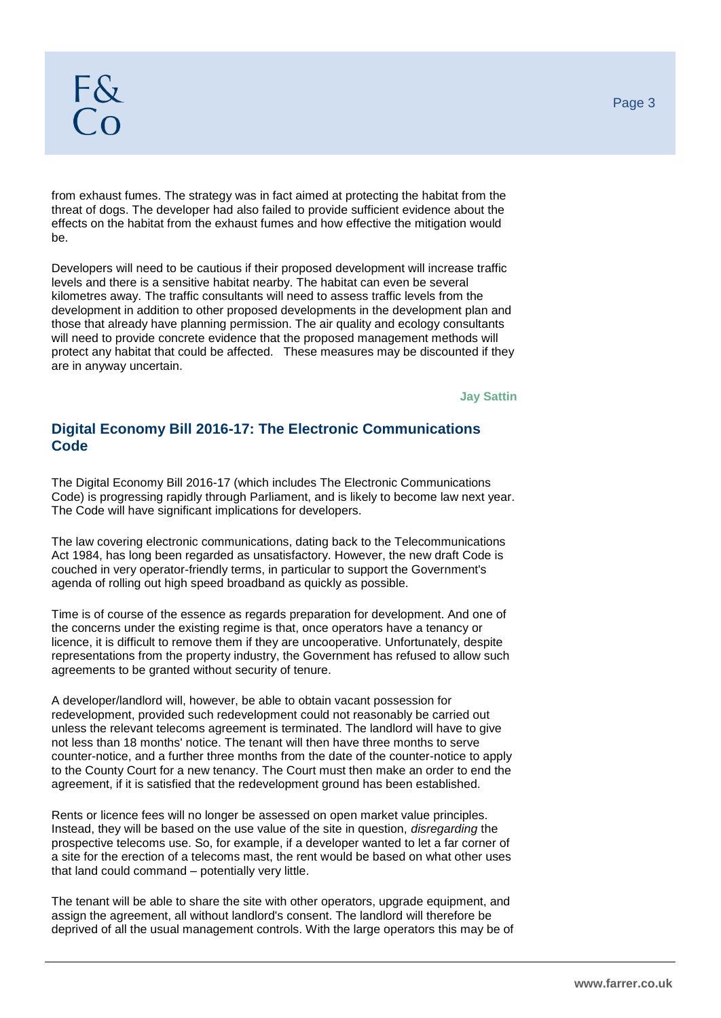from exhaust fumes. The strategy was in fact aimed at protecting the habitat from the threat of dogs. The developer had also failed to provide sufficient evidence about the effects on the habitat from the exhaust fumes and how effective the mitigation would be.

Developers will need to be cautious if their proposed development will increase traffic levels and there is a sensitive habitat nearby. The habitat can even be several kilometres away. The traffic consultants will need to assess traffic levels from the development in addition to other proposed developments in the development plan and those that already have planning permission. The air quality and ecology consultants will need to provide concrete evidence that the proposed management methods will protect any habitat that could be affected. These measures may be discounted if they are in anyway uncertain.

**Jay Sattin**

## **Digital Economy Bill 2016-17: The Electronic Communications Code**

The Digital Economy Bill 2016-17 (which includes The Electronic Communications Code) is progressing rapidly through Parliament, and is likely to become law next year. The Code will have significant implications for developers.

The law covering electronic communications, dating back to the Telecommunications Act 1984, has long been regarded as unsatisfactory. However, the new draft Code is couched in very operator-friendly terms, in particular to support the Government's agenda of rolling out high speed broadband as quickly as possible.

Time is of course of the essence as regards preparation for development. And one of the concerns under the existing regime is that, once operators have a tenancy or licence, it is difficult to remove them if they are uncooperative. Unfortunately, despite representations from the property industry, the Government has refused to allow such agreements to be granted without security of tenure.

A developer/landlord will, however, be able to obtain vacant possession for redevelopment, provided such redevelopment could not reasonably be carried out unless the relevant telecoms agreement is terminated. The landlord will have to give not less than 18 months' notice. The tenant will then have three months to serve counter-notice, and a further three months from the date of the counter-notice to apply to the County Court for a new tenancy. The Court must then make an order to end the agreement, if it is satisfied that the redevelopment ground has been established.

Rents or licence fees will no longer be assessed on open market value principles. Instead, they will be based on the use value of the site in question, *disregarding* the prospective telecoms use. So, for example, if a developer wanted to let a far corner of a site for the erection of a telecoms mast, the rent would be based on what other uses that land could command – potentially very little.

The tenant will be able to share the site with other operators, upgrade equipment, and assign the agreement, all without landlord's consent. The landlord will therefore be deprived of all the usual management controls. With the large operators this may be of